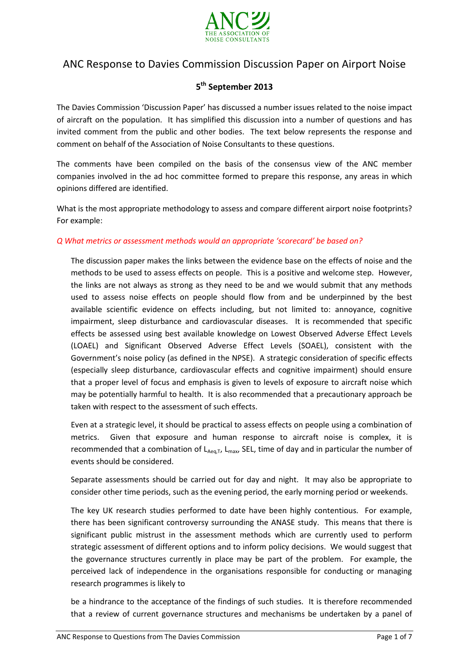

# ANC Response to Davies Commission Discussion Paper on Airport Noise

# **5 th September 2013**

The Davies Commission 'Discussion Paper' has discussed a number issues related to the noise impact of aircraft on the population. It has simplified this discussion into a number of questions and has invited comment from the public and other bodies. The text below represents the response and comment on behalf of the Association of Noise Consultants to these questions.

The comments have been compiled on the basis of the consensus view of the ANC member companies involved in the ad hoc committee formed to prepare this response, any areas in which opinions differed are identified.

What is the most appropriate methodology to assess and compare different airport noise footprints? For example:

#### *Q What metrics or assessment methods would an appropriate 'scorecard' be based on?*

The discussion paper makes the links between the evidence base on the effects of noise and the methods to be used to assess effects on people. This is a positive and welcome step. However, the links are not always as strong as they need to be and we would submit that any methods used to assess noise effects on people should flow from and be underpinned by the best available scientific evidence on effects including, but not limited to: annoyance, cognitive impairment, sleep disturbance and cardiovascular diseases. It is recommended that specific effects be assessed using best available knowledge on Lowest Observed Adverse Effect Levels (LOAEL) and Significant Observed Adverse Effect Levels (SOAEL), consistent with the Government's noise policy (as defined in the NPSE). A strategic consideration of specific effects (especially sleep disturbance, cardiovascular effects and cognitive impairment) should ensure that a proper level of focus and emphasis is given to levels of exposure to aircraft noise which may be potentially harmful to health. It is also recommended that a precautionary approach be taken with respect to the assessment of such effects.

Even at a strategic level, it should be practical to assess effects on people using a combination of metrics. Given that exposure and human response to aircraft noise is complex, it is recommended that a combination of  $L_{Aeq,T}$ ,  $L_{max}$ , SEL, time of day and in particular the number of events should be considered.

Separate assessments should be carried out for day and night. It may also be appropriate to consider other time periods, such as the evening period, the early morning period or weekends.

The key UK research studies performed to date have been highly contentious. For example, there has been significant controversy surrounding the ANASE study. This means that there is significant public mistrust in the assessment methods which are currently used to perform strategic assessment of different options and to inform policy decisions. We would suggest that the governance structures currently in place may be part of the problem. For example, the perceived lack of independence in the organisations responsible for conducting or managing research programmes is likely to

be a hindrance to the acceptance of the findings of such studies. It is therefore recommended that a review of current governance structures and mechanisms be undertaken by a panel of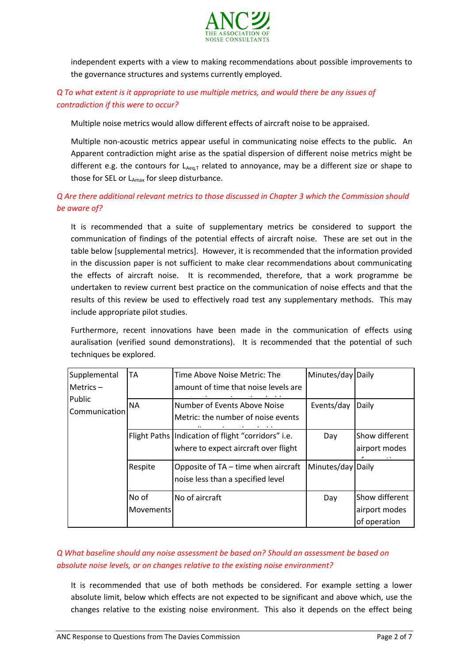

independent experts with a view to making recommendations about possible improvements to the governance structures and systems currently employed.

### *Q To what extent is it appropriate to use multiple metrics, and would there be any issues of contradiction if this were to occur?*

Multiple noise metrics would allow different effects of aircraft noise to be appraised.

Multiple non-acoustic metrics appear useful in communicating noise effects to the public. An Apparent contradiction might arise as the spatial dispersion of different noise metrics might be different e.g. the contours for  $L_{Aeq,T}$  related to annoyance, may be a different size or shape to those for SEL or  $L_{Amax}$  for sleep disturbance.

# *Q Are there additional relevant metrics to those discussed in Chapter 3 which the Commission should be aware of?*

It is recommended that a suite of supplementary metrics be considered to support the communication of findings of the potential effects of aircraft noise. These are set out in the table below [supplemental metrics]. However, it is recommended that the information provided in the discussion paper is not sufficient to make clear recommendations about communicating the effects of aircraft noise. It is recommended, therefore, that a work programme be undertaken to review current best practice on the communication of noise effects and that the results of this review be used to effectively road test any supplementary methods. This may include appropriate pilot studies.

Furthermore, recent innovations have been made in the communication of effects using auralisation (verified sound demonstrations). It is recommended that the potential of such techniques be explored.

| Supplemental<br>Metrics $-$<br>Public<br>Communication | <b>TA</b>                 | Time Above Noise Metric: The<br>amount of time that noise levels are                         | Minutes/day Daily |                                                 |
|--------------------------------------------------------|---------------------------|----------------------------------------------------------------------------------------------|-------------------|-------------------------------------------------|
|                                                        | <b>NA</b>                 | Number of Events Above Noise<br>Metric: the number of noise events                           | Events/day        | Daily                                           |
|                                                        |                           | Flight Paths   Indication of flight "corridors" i.e.<br>where to expect aircraft over flight | Day               | Show different<br>airport modes                 |
|                                                        | Respite                   | Opposite of TA – time when aircraft<br>noise less than a specified level                     | Minutes/day       | Daily                                           |
|                                                        | No of<br><b>Movements</b> | No of aircraft                                                                               | Day               | Show different<br>airport modes<br>of operation |

#### *Q What baseline should any noise assessment be based on? Should an assessment be based on absolute noise levels, or on changes relative to the existing noise environment?*  average

It is recommended that use of both methods be considered. For example setting a lower absolute limit, below which effects are not expected to be significant and above which, use the changes relative to the existing noise environment. This also it depends on the effect being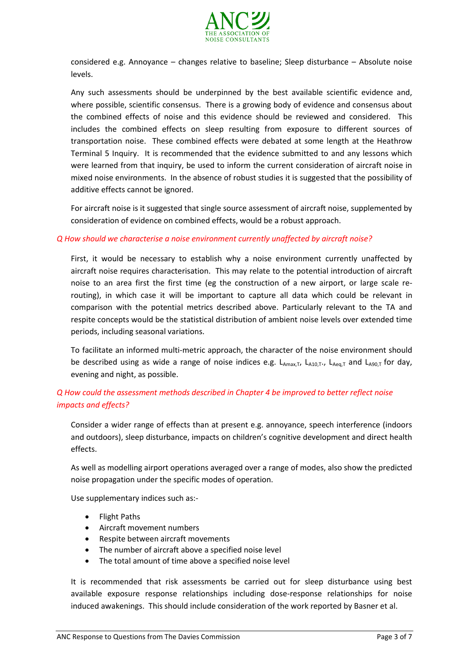

considered e.g. Annoyance – changes relative to baseline; Sleep disturbance – Absolute noise levels.

Any such assessments should be underpinned by the best available scientific evidence and, where possible, scientific consensus. There is a growing body of evidence and consensus about the combined effects of noise and this evidence should be reviewed and considered. This includes the combined effects on sleep resulting from exposure to different sources of transportation noise. These combined effects were debated at some length at the Heathrow Terminal 5 Inquiry. It is recommended that the evidence submitted to and any lessons which were learned from that inquiry, be used to inform the current consideration of aircraft noise in mixed noise environments. In the absence of robust studies it is suggested that the possibility of additive effects cannot be ignored.

For aircraft noise is it suggested that single source assessment of aircraft noise, supplemented by consideration of evidence on combined effects, would be a robust approach.

#### *Q How should we characterise a noise environment currently unaffected by aircraft noise?*

First, it would be necessary to establish why a noise environment currently unaffected by aircraft noise requires characterisation. This may relate to the potential introduction of aircraft noise to an area first the first time (eg the construction of a new airport, or large scale rerouting), in which case it will be important to capture all data which could be relevant in comparison with the potential metrics described above. Particularly relevant to the TA and respite concepts would be the statistical distribution of ambient noise levels over extended time periods, including seasonal variations.

To facilitate an informed multi-metric approach, the character of the noise environment should be described using as wide a range of noise indices e.g.  $L_{Amax,T}$ ,  $L_{A10,T}$ ,  $L_{Ae0,T}$  and  $L_{A90,T}$  for day, evening and night, as possible.

# *Q How could the assessment methods described in Chapter 4 be improved to better reflect noise impacts and effects?*

Consider a wider range of effects than at present e.g. annoyance, speech interference (indoors and outdoors), sleep disturbance, impacts on children's cognitive development and direct health effects.

As well as modelling airport operations averaged over a range of modes, also show the predicted noise propagation under the specific modes of operation.

Use supplementary indices such as:-

- Flight Paths
- Aircraft movement numbers
- Respite between aircraft movements
- The number of aircraft above a specified noise level
- The total amount of time above a specified noise level

It is recommended that risk assessments be carried out for sleep disturbance using best available exposure response relationships including dose-response relationships for noise induced awakenings. This should include consideration of the work reported by Basner et al.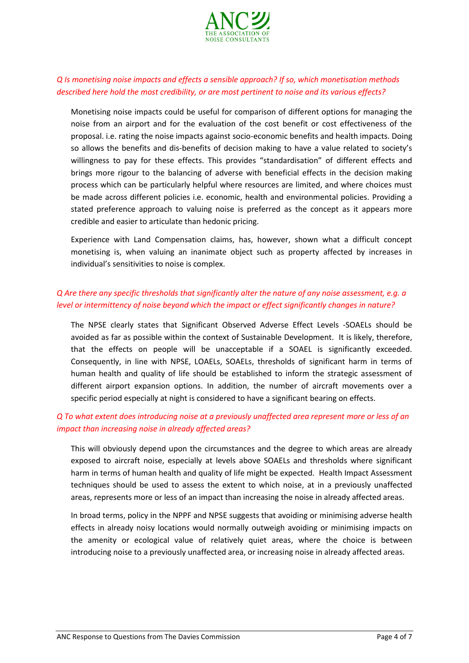

#### *Q Is monetising noise impacts and effects a sensible approach? If so, which monetisation methods described here hold the most credibility, or are most pertinent to noise and its various effects?*

Monetising noise impacts could be useful for comparison of different options for managing the noise from an airport and for the evaluation of the cost benefit or cost effectiveness of the proposal. i.e. rating the noise impacts against socio-economic benefits and health impacts. Doing so allows the benefits and dis-benefits of decision making to have a value related to society's willingness to pay for these effects. This provides "standardisation" of different effects and brings more rigour to the balancing of adverse with beneficial effects in the decision making process which can be particularly helpful where resources are limited, and where choices must be made across different policies i.e. economic, health and environmental policies. Providing a stated preference approach to valuing noise is preferred as the concept as it appears more credible and easier to articulate than hedonic pricing.

Experience with Land Compensation claims, has, however, shown what a difficult concept monetising is, when valuing an inanimate object such as property affected by increases in individual's sensitivities to noise is complex.

### *Q Are there any specific thresholds that significantly alter the nature of any noise assessment, e.g. a level or intermittency of noise beyond which the impact or effect significantly changes in nature?*

The NPSE clearly states that Significant Observed Adverse Effect Levels -SOAELs should be avoided as far as possible within the context of Sustainable Development. It is likely, therefore, that the effects on people will be unacceptable if a SOAEL is significantly exceeded. Consequently, in line with NPSE, LOAELs, SOAELs, thresholds of significant harm in terms of human health and quality of life should be established to inform the strategic assessment of different airport expansion options. In addition, the number of aircraft movements over a specific period especially at night is considered to have a significant bearing on effects.

### *Q To what extent does introducing noise at a previously unaffected area represent more or less of an impact than increasing noise in already affected areas?*

This will obviously depend upon the circumstances and the degree to which areas are already exposed to aircraft noise, especially at levels above SOAELs and thresholds where significant harm in terms of human health and quality of life might be expected. Health Impact Assessment techniques should be used to assess the extent to which noise, at in a previously unaffected areas, represents more or less of an impact than increasing the noise in already affected areas.

In broad terms, policy in the NPPF and NPSE suggests that avoiding or minimising adverse health effects in already noisy locations would normally outweigh avoiding or minimising impacts on the amenity or ecological value of relatively quiet areas, where the choice is between introducing noise to a previously unaffected area, or increasing noise in already affected areas.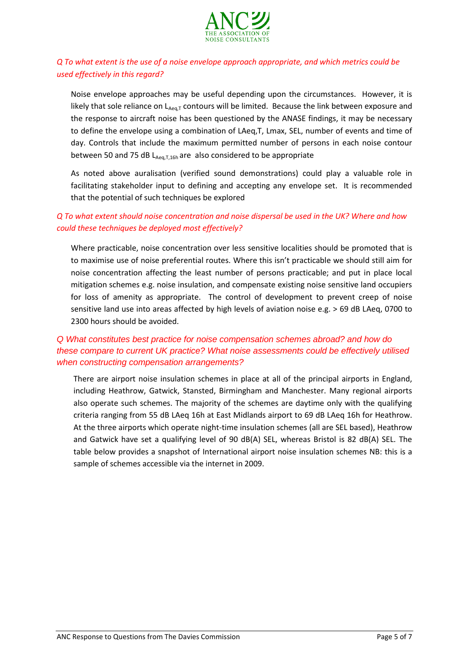

### *Q To what extent is the use of a noise envelope approach appropriate, and which metrics could be used effectively in this regard?*

Noise envelope approaches may be useful depending upon the circumstances. However, it is likely that sole reliance on LAeq,T contours will be limited. Because the link between exposure and the response to aircraft noise has been questioned by the ANASE findings, it may be necessary to define the envelope using a combination of LAeq,T, Lmax, SEL, number of events and time of day. Controls that include the maximum permitted number of persons in each noise contour between 50 and 75 dB  $L_{Aea,T,16h}$  are also considered to be appropriate

As noted above auralisation (verified sound demonstrations) could play a valuable role in facilitating stakeholder input to defining and accepting any envelope set. It is recommended that the potential of such techniques be explored

### *Q To what extent should noise concentration and noise dispersal be used in the UK? Where and how could these techniques be deployed most effectively?*

Where practicable, noise concentration over less sensitive localities should be promoted that is to maximise use of noise preferential routes. Where this isn't practicable we should still aim for noise concentration affecting the least number of persons practicable; and put in place local mitigation schemes e.g. noise insulation, and compensate existing noise sensitive land occupiers for loss of amenity as appropriate. The control of development to prevent creep of noise sensitive land use into areas affected by high levels of aviation noise e.g. > 69 dB LAeq, 0700 to 2300 hours should be avoided.

### *Q What constitutes best practice for noise compensation schemes abroad? and how do these compare to current UK practice? What noise assessments could be effectively utilised when constructing compensation arrangements?*

There are airport noise insulation schemes in place at all of the principal airports in England, including Heathrow, Gatwick, Stansted, Birmingham and Manchester. Many regional airports also operate such schemes. The majority of the schemes are daytime only with the qualifying criteria ranging from 55 dB LAeq 16h at East Midlands airport to 69 dB LAeq 16h for Heathrow. At the three airports which operate night-time insulation schemes (all are SEL based), Heathrow and Gatwick have set a qualifying level of 90 dB(A) SEL, whereas Bristol is 82 dB(A) SEL. The table below provides a snapshot of International airport noise insulation schemes NB: this is a sample of schemes accessible via the internet in 2009.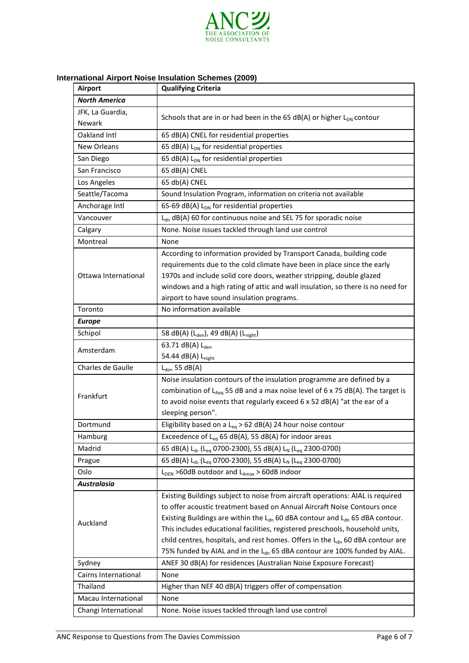

# **International Airport Noise Insulation Schemes (2009)**

| <b>Airport</b>       | <b>Qualifying Criteria</b>                                                                                                                                                                                                                                                                                                                                                                                                   |  |  |
|----------------------|------------------------------------------------------------------------------------------------------------------------------------------------------------------------------------------------------------------------------------------------------------------------------------------------------------------------------------------------------------------------------------------------------------------------------|--|--|
| <b>North America</b> |                                                                                                                                                                                                                                                                                                                                                                                                                              |  |  |
| JFK, La Guardia,     |                                                                                                                                                                                                                                                                                                                                                                                                                              |  |  |
| Newark               | Schools that are in or had been in the 65 dB(A) or higher $L_{DN}$ contour                                                                                                                                                                                                                                                                                                                                                   |  |  |
| Oakland Intl         | 65 dB(A) CNEL for residential properties                                                                                                                                                                                                                                                                                                                                                                                     |  |  |
| New Orleans          | 65 dB(A) L <sub>DN</sub> for residential properties                                                                                                                                                                                                                                                                                                                                                                          |  |  |
| San Diego            | 65 dB(A) $L_{DN}$ for residential properties                                                                                                                                                                                                                                                                                                                                                                                 |  |  |
| San Francisco        | 65 dB(A) CNEL                                                                                                                                                                                                                                                                                                                                                                                                                |  |  |
| Los Angeles          | 65 db(A) CNEL                                                                                                                                                                                                                                                                                                                                                                                                                |  |  |
| Seattle/Tacoma       | Sound Insulation Program, information on criteria not available                                                                                                                                                                                                                                                                                                                                                              |  |  |
| Anchorage Intl       | 65-69 dB(A) $L_{DN}$ for residential properties                                                                                                                                                                                                                                                                                                                                                                              |  |  |
| Vancouver            | L <sub>dn</sub> dB(A) 60 for continuous noise and SEL 75 for sporadic noise                                                                                                                                                                                                                                                                                                                                                  |  |  |
| Calgary              | None. Noise issues tackled through land use control                                                                                                                                                                                                                                                                                                                                                                          |  |  |
| Montreal             | None                                                                                                                                                                                                                                                                                                                                                                                                                         |  |  |
| Ottawa International | According to information provided by Transport Canada, building code<br>requirements due to the cold climate have been in place since the early<br>1970s and include solid core doors, weather stripping, double glazed                                                                                                                                                                                                      |  |  |
|                      | windows and a high rating of attic and wall insulation, so there is no need for<br>airport to have sound insulation programs.                                                                                                                                                                                                                                                                                                |  |  |
| Toronto              | No information available                                                                                                                                                                                                                                                                                                                                                                                                     |  |  |
| <b>Europe</b>        |                                                                                                                                                                                                                                                                                                                                                                                                                              |  |  |
| Schipol              | 58 dB(A) (L <sub>den</sub> ), 49 dB(A) (L <sub>night</sub> )                                                                                                                                                                                                                                                                                                                                                                 |  |  |
| Amsterdam            | 63.71 dB(A) L <sub>den</sub>                                                                                                                                                                                                                                                                                                                                                                                                 |  |  |
|                      | 54.44 dB(A) L <sub>night</sub>                                                                                                                                                                                                                                                                                                                                                                                               |  |  |
| Charles de Gaulle    | $L_{den}$ 55 dB(A)                                                                                                                                                                                                                                                                                                                                                                                                           |  |  |
| Frankfurt            | Noise insulation contours of the insulation programme are defined by a<br>combination of $L_{Aeq}$ 55 dB and a max noise level of 6 x 75 dB(A). The target is<br>to avoid noise events that regularly exceed 6 x 52 dB(A) "at the ear of a<br>sleeping person".                                                                                                                                                              |  |  |
| Dortmund             | Eligibility based on a L <sub>eq</sub> > 62 dB(A) 24 hour noise contour                                                                                                                                                                                                                                                                                                                                                      |  |  |
| Hamburg              | Exceedence of $L_{eq}$ 65 dB(A), 55 dB(A) for indoor areas                                                                                                                                                                                                                                                                                                                                                                   |  |  |
| Madrid               | 65 dB(A) L <sub>d</sub> , (L <sub>eg</sub> 0700-2300), 55 dB(A) L <sub>N</sub> (L <sub>eg</sub> 2300-0700)                                                                                                                                                                                                                                                                                                                   |  |  |
| Prague               | 65 dB(A) L <sub>d</sub> , (L <sub>eq</sub> 0700-2300), 55 dB(A) L <sub>N</sub> (L <sub>eq</sub> 2300-0700)                                                                                                                                                                                                                                                                                                                   |  |  |
| Oslo                 | $L_{DEN} > 60dB$ outdoor and $L_{Amax} > 60dB$ indoor                                                                                                                                                                                                                                                                                                                                                                        |  |  |
| <b>Australasia</b>   |                                                                                                                                                                                                                                                                                                                                                                                                                              |  |  |
| Auckland             | Existing Buildings subject to noise from aircraft operations: AIAL is required<br>to offer acoustic treatment based on Annual Aircraft Noise Contours once<br>Existing Buildings are within the $L_{dn}$ 60 dBA contour and $L_{dn}$ 65 dBA contour.<br>This includes educational facilities, registered preschools, household units,<br>child centres, hospitals, and rest homes. Offers in the $L_{dn}$ 60 dBA contour are |  |  |
|                      | 75% funded by AIAL and in the L <sub>dn</sub> 65 dBA contour are 100% funded by AIAL.                                                                                                                                                                                                                                                                                                                                        |  |  |
| Sydney               | ANEF 30 dB(A) for residences (Australian Noise Exposure Forecast)                                                                                                                                                                                                                                                                                                                                                            |  |  |
| Cairns International | None                                                                                                                                                                                                                                                                                                                                                                                                                         |  |  |
| Thailand             | Higher than NEF 40 dB(A) triggers offer of compensation                                                                                                                                                                                                                                                                                                                                                                      |  |  |
| Macau International  | None                                                                                                                                                                                                                                                                                                                                                                                                                         |  |  |
| Changi International | None. Noise issues tackled through land use control                                                                                                                                                                                                                                                                                                                                                                          |  |  |